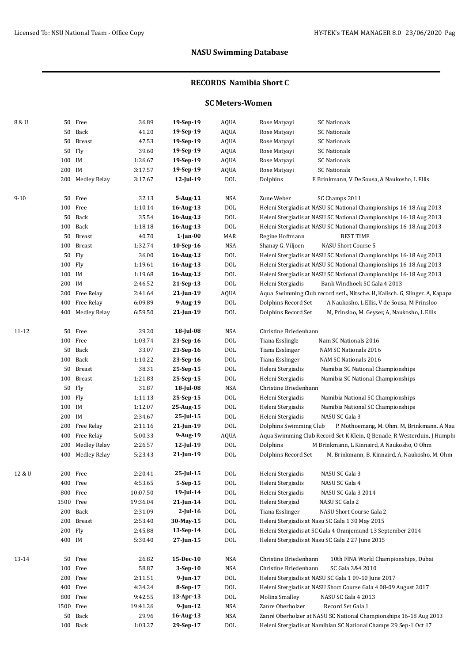### **RECORDS Namibia Short C**

### **SC Meters-Women**

| 8 & U    |        | 50 Free             | 36.89    | 19-Sep-19       | <b>AQUA</b> | <b>SC Nationals</b><br>Rose Matyayi                                        |
|----------|--------|---------------------|----------|-----------------|-------------|----------------------------------------------------------------------------|
|          | 50     | Back                | 41.20    | 19-Sep-19       | <b>AQUA</b> | Rose Matyayi<br><b>SC Nationals</b>                                        |
|          | 50     | <b>Breast</b>       | 47.53    | 19-Sep-19       | <b>AQUA</b> | <b>SC Nationals</b><br>Rose Matyayi                                        |
|          | 50     | Fly                 | 39.60    | 19-Sep-19       | <b>AQUA</b> | <b>SC Nationals</b><br>Rose Matyayi                                        |
|          | 100 IM |                     | 1:26.67  | 19-Sep-19       | <b>AQUA</b> | <b>SC Nationals</b><br>Rose Matyayi                                        |
|          | 200 IM |                     | 3:17.57  | 19-Sep-19       | <b>AQUA</b> | Rose Matyayi<br><b>SC Nationals</b>                                        |
|          |        | 200 Medley Relay    | 3:17.67  | $12$ -Jul-19    | <b>DOL</b>  | Dolphins<br>E Brinkmann, V De Sousa, A Naukosho, L Ellis                   |
|          |        |                     |          |                 |             |                                                                            |
| $9 - 10$ |        | 50 Free             | 32.13    | 5-Aug-11        | <b>NSA</b>  | Zune Weber<br>SC Champs 2011                                               |
|          |        | 100 Free            | 1:10.14  | 16-Aug-13       | <b>DOL</b>  | Heleni Stergiadis at NASU SC National Championships 16-18 Aug 2013         |
|          | 50     | Back                | 35.54    | 16-Aug-13       | <b>DOL</b>  | Heleni Stergiadis at NASU SC National Championships 16-18 Aug 2013         |
|          |        | 100 Back            | 1:18.18  | 16-Aug-13       | <b>DOL</b>  | Heleni Stergiadis at NASU SC National Championships 16-18 Aug 2013         |
|          | 50     | Breast              | 40.70    | $1$ -Jan-00     | MAR         | <b>BEST TIME</b><br>Regine Hoffmann                                        |
|          | 100    | <b>Breast</b>       | 1:32.74  | 10-Sep-16       | <b>NSA</b>  | Shanay G. Viljoen<br>NASU Short Course 5                                   |
|          | 50     | Fly                 | 36.00    | 16-Aug-13       | <b>DOL</b>  | Heleni Stergiadis at NASU SC National Championships 16-18 Aug 2013         |
|          | 100    | Fly                 | 1:19.61  | 16-Aug-13       | <b>DOL</b>  | Heleni Stergiadis at NASU SC National Championships 16-18 Aug 2013         |
|          | 100 IM |                     | 1:19.68  | 16-Aug-13       | <b>DOL</b>  | Heleni Stergiadis at NASU SC National Championships 16-18 Aug 2013         |
|          | 200 IM |                     | 2:46.52  | 21-Sep-13       | <b>DOL</b>  | Heleni Stergiadis<br>Bank Windhoek SC Gala 4 2013                          |
|          | 200    | Free Relay          | 2:41.64  | $21$ -Jun-19    | <b>AQUA</b> | Aqua Swimming Club record setL, Nitsche. H, Kalisch. G, Slinger. A, Kapapa |
|          | 400    | Free Relay          | 6:09.89  | 9-Aug-19        | <b>DOL</b>  | Dolphins Record Set<br>A Naukosho, L Ellis, V de Sousa, M Prinsloo         |
|          | 400    | Medley Relay        | 6:59.50  | 21-Jun-19       | <b>DOL</b>  | Dolphins Record Set<br>M, Prinsloo, M. Geyser, A, Naukosho, L Ellis        |
|          |        |                     |          |                 |             |                                                                            |
| 11-12    | 50     | Free                | 29.20    | 18-Jul-08       | <b>NSA</b>  | Christine Briedenhann                                                      |
|          |        | 100 Free            | 1:03.74  | 23-Sep-16       | <b>DOL</b>  | Tiana Esslingle<br>Nam SC Nationals 2016                                   |
|          | 50     | Back                | 33.07    | 23-Sep-16       | <b>DOL</b>  | Tiana Esslinger<br>NAM SC Nationals 2016                                   |
|          | 100    | Back                | 1:10.22  | 23-Sep-16       | <b>DOL</b>  | Tiana Esslinger<br>NAM SC Nationals 2016                                   |
|          | 50     | <b>Breast</b>       | 38.31    | 25-Sep-15       | <b>DOL</b>  | Heleni Stergiadis<br>Namibia SC National Championships                     |
|          | 100    | <b>Breast</b>       | 1:21.83  | 25-Sep-15       | <b>DOL</b>  | Heleni Stergiadis<br>Namibia SC National Championships                     |
|          | 50     | Fly                 | 31.87    | 18-Jul-08       | <b>NSA</b>  | Christine Briedenhann                                                      |
|          | 100    | Fly                 | 1:11.13  | 25-Sep-15       | <b>DOL</b>  | Heleni Stergiadis<br>Namibia National SC Championships                     |
|          | 100    | IM                  | 1:12.07  | 25-Aug-15       | <b>DOL</b>  | Heleni Stergiadis<br>Namibia National SC Championships                     |
|          | 200    | IM                  | 2:34.67  | 25-Jul-15       | <b>DOL</b>  | NASU SC Gala 3<br>Heleni Stergiadis                                        |
|          | 200    | Free Relay          | 2:11.16  | $21$ -Jun-19    | <b>DOL</b>  | Dolphins Swimming Club<br>P. Mothoemang, M. Ohm. M, Brinkmann. A Nau       |
|          | 400    | Free Relay          | 5:00.33  | 9-Aug-19        | <b>AQUA</b> | Aqua Swimming Club Record Set K Klein, Q Benade, R Westerduin, J Humphi    |
|          | 200    | <b>Medley Relay</b> | 2:26.57  | 12-Jul-19       | <b>DOL</b>  | Dolphins<br>M Brinkmann, L Kinnaird, A Naukosho, O Ohm                     |
|          | 400    | <b>Medley Relay</b> | 5:23.43  | $21$ -Jun-19    | <b>DOL</b>  | Dolphins Record Set<br>M. Brinkmann, B. Kinnaird, A, Naukosho, M. Ohm      |
| 12 & U   |        | 200 Free            | 2:20.41  | 25-Jul-15       | <b>DOL</b>  | Heleni Stergiadis<br>NASU SC Gala 3                                        |
|          | 400    | Free                | 4:53.65  | 5-Sep-15        | <b>DOL</b>  | NASU SC Gala 4<br>Heleni Stergiadis                                        |
|          |        | 800 Free            | 10:07.50 | 19-Jul-14       | <b>DOL</b>  | Heleni Stergiadis<br>NASU SC Gala 3 2014                                   |
|          | 1500   | Free                | 19:36.04 | $21$ -Jun-14    | <b>DOL</b>  | NASU SC Gala 2<br>Heleni Stergiad                                          |
|          | 200    | Back                | 2:31.09  | $2$ -Jul-16     | <b>DOL</b>  | Tiana Esslinger<br>NASU Short Course Gala 2                                |
|          | 200    | Breast              | 2:53.40  | 30-May-15       | <b>DOL</b>  | Heleni Stergiadis at Nasu SC Gala 1 30 May 2015                            |
|          | 200    | Fly                 | 2:45.88  | 13-Sep-14       | <b>DOL</b>  | Heleni Stergiadis at SC Gala 4 Oranjemund 13 September 2014                |
|          | 400 IM |                     | 5:30.40  | $27 - Jun - 15$ | <b>DOL</b>  | Heleni Stergiadis at Nasu SC Gala 2 27 June 2015                           |
|          |        |                     |          |                 |             |                                                                            |
| 13-14    | 50     | Free                | 26.82    | 15-Dec-10       | NSA         | Christine Briedenhann<br>10th FINA World Championships, Dubai              |
|          |        | 100 Free            | 58.87    | 3-Sep-10        | <b>NSA</b>  | Christine Briedenhann<br>SC Gala 3&4 2010                                  |
|          |        | 200 Free            | 2:11.51  | $9$ -Jun-17     | <b>DOL</b>  | Heleni Stergiadis at NASU SC Gala 1 09-10 June 2017                        |
|          |        | 400 Free            | 4:34.24  | 8-Sep-17        | <b>DOL</b>  | Heleni Stergiadis at NASU Short Course Gala 4 08-09 August 2017            |
|          |        | 800 Free            | 9:42.55  | 13-Apr-13       | <b>DOL</b>  | Molina Smalley<br>NASU SC Gala 4 2013                                      |
|          | 1500   | Free                | 19:41.26 | $9$ -Jun-12     | <b>NSA</b>  | Zanre Oberholzer<br>Record Set Gala 1                                      |
|          | 50     | Back                | 29.96    | 16-Aug-13       | NSA         | Zanré Oberholzer at NASU SC National Championships 16-18 Aug 2013          |
|          |        | 100 Back            | 1:03.27  | 29-Sep-17       | <b>DOL</b>  | Heleni Stergiadis at Namibian SC National Champs 29 Sep-1 Oct 17           |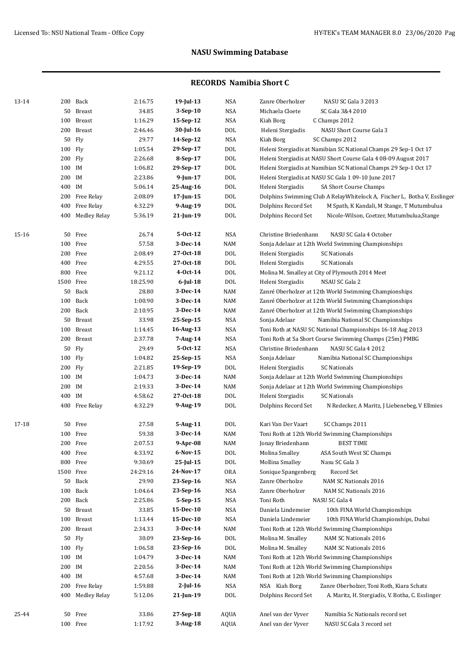| 13-14 |           | 200 Back         | 2:16.75  | $19$ -Jul-13   | <b>NSA</b> | Zanre Oberholzer<br>NASU SC Gala 3 2013                                  |
|-------|-----------|------------------|----------|----------------|------------|--------------------------------------------------------------------------|
|       |           | 50 Breast        | 34.85    | $3-Sep-10$     | <b>NSA</b> | Michaela Cloete<br>SC Gala 3&4 2010                                      |
|       |           | 100 Breast       | 1:16.29  | 15-Sep-12      | <b>NSA</b> | Kiah Borg<br>C Champs 2012                                               |
|       |           | 200 Breast       | 2:46.46  | 30-Jul-16      | DOL        | Heleni Stergiadis<br>NASU Short Course Gala 3                            |
|       | 50 Fly    |                  | 29.77    | 14-Sep-12      | NSA        | Kiah Borg<br>SC Champs 2012                                              |
|       | 100 Fly   |                  | 1:05.54  | 29-Sep-17      | DOL        | Heleni Stergiadis at Namibian SC National Champs 29 Sep-1 Oct 17         |
|       | 200 Fly   |                  | 2:26.68  | 8-Sep-17       | <b>DOL</b> | Heleni Stergiadis at NASU Short Course Gala 4 08-09 August 2017          |
|       | 100 IM    |                  | 1:06.82  | 29-Sep-17      | <b>DOL</b> | Heleni Stergiadis at Namibian SC National Champs 29 Sep-1 Oct 17         |
|       | 200 IM    |                  | 2:23.86  | $9$ -Jun-17    | <b>DOL</b> | Heleni Stergiadis at NASU SC Gala 1 09-10 June 2017                      |
|       | 400 IM    |                  |          |                | <b>DOL</b> |                                                                          |
|       |           |                  | 5:06.14  | 25-Aug-16      |            | Heleni Stergiadis<br>SA Short Course Champs                              |
|       |           | 200 Free Relay   | 2:08.09  | 17-Jun-15      | <b>DOL</b> | Dolphins Swimming Club A RelayWhitelock A, Fischer L, Botha V, Esslinger |
|       |           | 400 Free Relay   | 4:32.29  | 9-Aug-19       | <b>DOL</b> | Dolphins Record Set<br>M Spath, K Kandali, M Stange, T Mutumbulua        |
|       |           | 400 Medley Relay | 5:36.19  | 21-Jun-19      | DOL        | Dolphins Record Set<br>Nicole-Wilson, Coetzer, Mutumbulua, Stange        |
| 15-16 |           | 50 Free          | 26.74    | 5-Oct-12       | NSA        | Christine Briedenhann<br>NASU SC Gala 4 October                          |
|       | 100 Free  |                  | 57.58    | 3-Dec-14       | <b>NAM</b> | Sonja Adelaar at 12th World Swimming Championships                       |
|       | 200 Free  |                  | 2:08.49  | 27-0ct-18      | <b>DOL</b> | Heleni Stergiadis<br><b>SC Nationals</b>                                 |
|       | 400 Free  |                  | 4:29.55  | 27-0ct-18      | <b>DOL</b> | Heleni Stergiadis<br><b>SC Nationals</b>                                 |
|       | 800 Free  |                  | 9:21.12  | $4 - Oct-14$   | DOL        | Molina M. Smalley at City of Plymouth 2014 Meet                          |
|       | 1500 Free |                  | 18:25.90 | 6-Jul-18       | DOL        | Heleni Stergiadis<br>NSAU SC Gala 2                                      |
|       |           | 50 Back          | 28.80    | 3-Dec-14       | NAM        | Zanré Oberholzer at 12th World Swimming Championships                    |
|       |           | 100 Back         | 1:00.90  | 3-Dec-14       | NAM        | Zanré Oberholzer at 12th World Swimming Championships                    |
|       |           | 200 Back         | 2:10.95  | 3-Dec-14       | <b>NAM</b> | Zanré Oberholzer at 12th World Swimming Championships                    |
|       |           | 50 Breast        | 33.98    | 25-Sep-15      | <b>NSA</b> | Sonja Adelaar<br>Namibia National SC Championships                       |
|       |           | 100 Breast       | 1:14.45  | 16-Aug-13      | NSA        | Toni Roth at NASU SC National Championships 16-18 Aug 2013               |
|       |           | 200 Breast       | 2:37.78  | 7-Aug-14       | NSA        | Toni Roth at Sa Short Course Swimming Champs (25m) PMBG                  |
|       | 50 Fly    |                  | 29.49    | $5 - Oct - 12$ | NSA        | Christine Briedenhann<br>NASU SC Gala 4 2012                             |
|       | 100 Fly   |                  | 1:04.82  | 25-Sep-15      | NSA        | Sonja Adelaar<br>Namibia National SC Championships                       |
|       | 200 Fly   |                  | 2:21.85  | 19-Sep-19      | DOL        | Heleni Stergiadis<br><b>SC Nationals</b>                                 |
|       | 100 IM    |                  | 1:04.73  | 3-Dec-14       | NAM        | Sonja Adelaar at 12th World Swimming Championships                       |
|       | 200 IM    |                  | 2:19.33  | 3-Dec-14       | <b>NAM</b> | Sonja Adelaar at 12th World Swimming Championships                       |
|       | 400 IM    |                  | 4:58.62  | 27-0ct-18      | <b>DOL</b> | Heleni Stergiadis<br><b>SC Nationals</b>                                 |
|       |           | 400 Free Relay   | 4:32.29  | 9-Aug-19       | DOL        | Dolphins Record Set<br>N Redecker, A Maritz, J Liebenebeg, V Ellmies     |
|       |           |                  |          |                |            |                                                                          |
| 17-18 |           | 50 Free          | 27.58    | 5-Aug-11       | <b>DOL</b> | Kari Van Der Vaart<br>SC Champs 2011                                     |
|       | 100 Free  |                  | 59.38    | 3-Dec-14       | <b>NAM</b> | Toni Roth at 12th World Swimming Championships                           |
|       | 200 Free  |                  | 2:07.53  | 9-Apr-08       | <b>NAM</b> | <b>BEST TIME</b><br>Jonay Briedenhann                                    |
|       | 400 Free  |                  | 4:33.92  | $6-Nov-15$     | $\rm DOL$  | Molina Smalley<br>ASA South West SC Champs                               |
|       | 800 Free  |                  | 9:30.69  | $25$ -Jul-15   | $\rm DOL$  | Mollina Smalley<br>Nasu SC Gala 3                                        |
|       | 1500 Free |                  | 24:29.16 | 24-Nov-17      | <b>ORA</b> | Record Set<br>Sonique Spangenberg                                        |
|       |           | 50 Back          | 29.90    | 23-Sep-16      | NSA        | Zanre Oberholze<br>NAM SC Nationals 2016                                 |
|       |           | 100 Back         | 1:04.64  | 23-Sep-16      | NSA        | Zanre Oberholzer<br>NAM SC Nationals 2016                                |
|       |           | 200 Back         | 2:25.86  | $5-Sep-15$     | NSA        | Toni Roth<br>NASU SC Gala 4                                              |
|       |           | 50 Breast        | 33.85    | 15-Dec-10      | NSA        | Daniela Lindemeier<br>10th FINA World Championships                      |
|       |           | 100 Breast       | 1:13.44  | 15-Dec-10      | NSA        | Daniela Lindemeier<br>10th FINA World Championships, Dubai               |
|       |           | 200 Breast       | 2:34.33  | 3-Dec-14       | NAM        | Toni Roth at 12th World Swimming Championships                           |
|       | 50 Fly    |                  | 30.09    | 23-Sep-16      | <b>DOL</b> | Molina M. Smalley<br>NAM SC Nationals 2016                               |
|       | 100 Fly   |                  | 1:06.58  | 23-Sep-16      | DOL        | Molina M. Smalley<br>NAM SC Nationals 2016                               |
|       | 100 IM    |                  | 1:04.79  | 3-Dec-14       | NAM        | Toni Roth at 12th World Swimming Championships                           |
|       | 200 IM    |                  | 2:20.56  | 3-Dec-14       | NAM        | Toni Roth at 12th World Swimming Championships                           |
|       | 400 IM    |                  | 4:57.68  | 3-Dec-14       | NAM        | Toni Roth at 12th World Swimming Championships                           |
|       |           | 200 Free Relay   | 1:59.88  | $2$ -Jul-16    | NSA        | Zanre Oberholzer, Toni Roth, Kiara Schatz<br>NSA Kiah Borg               |
|       |           | 400 Medley Relay | 5:12.06  | 21-Jun-19      | DOL        | Dolphins Record Set<br>A. Maritz, H. Stergiadis, V. Botha, C. Esslinger  |
|       |           |                  |          |                |            |                                                                          |
| 25-44 |           | 50 Free          | 33.86    | 27-Sep-18      | AQUA       | Anel van der Vyver<br>Namibia Sc Nationals record set                    |
|       | 100 Free  |                  | 1:17.92  | 3-Aug-18       | AQUA       | Anel van der Vyver<br>NASU SC Gala 3 record set                          |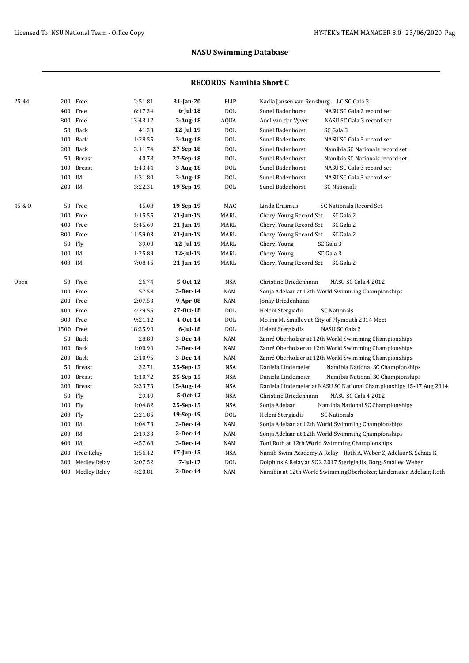| 25-44  |        | 200 Free         | 2:51.81  | $31$ -Jan-20   | FLIP           | Nadia Jansen van Rensburg LC-SC Gala 3                              |
|--------|--------|------------------|----------|----------------|----------------|---------------------------------------------------------------------|
|        |        | 400 Free         | 6:17.34  | $6$ -Jul-18    | <b>DOL</b>     | Sunel Badenhorst<br>NASU SC Gala 2 record set                       |
|        |        | 800 Free         | 13:43.12 | $3$ -Aug-18    | AQUA           | NASU SC Gala 3 record set<br>Anel van der Vyver                     |
|        | 50     | Back             | 41.33    | $12$ -Jul-19   | <b>DOL</b>     | SC Gala 3<br>Sunel Badenhorst                                       |
|        |        | 100 Back         | 1:28.55  | $3-Aug-18$     | $\rm DOL$      | Sunel Badenhorts<br>NASU SC Gala 3 record set                       |
|        |        | 200 Back         | 3:11.74  | 27-Sep-18      | $\rm DOL$      | Sunel Badenhorst<br>Namibia SC Nationals record set                 |
|        |        | 50 Breast        | 40.78    | 27-Sep-18      | DOL            | Sunel Badenhorst<br>Namibia SC Nationals record set                 |
|        | 100    | <b>Breast</b>    | 1:43.44  | $3-Aug-18$     | <b>DOL</b>     | Sunel Badenhorst<br>NASU SC Gala 3 record set                       |
|        | 100 IM |                  | 1:31.80  | $3-Aug-18$     | DOL            | Sunel Badenhorst<br>NASU SC Gala 3 record set                       |
|        | 200 IM |                  | 3:22.31  | 19-Sep-19      | DOL            | Sunel Badenhorst<br><b>SC Nationals</b>                             |
| 45 & O | 50     | Free             | 45.08    | 19-Sep-19      | MAC            | Linda Erasmus<br><b>SC Nationals Record Set</b>                     |
|        |        | 100 Free         | 1:15.55  | $21$ -Jun-19   | MARL           | Cheryl Young Record Set<br>SC Gala 2                                |
|        |        | 400 Free         | 5:45.69  | 21-Jun-19      | MARL           | Cheryl Young Record Set<br>SC Gala 2                                |
|        |        | 800 Free         | 11:59.03 | 21-Jun-19      | MARL           | Cheryl Young Record Set<br>SC Gala 2                                |
|        |        | 50 Fly           | 39.00    | $12$ -Jul-19   | MARL           | Cheryl Young<br>SC Gala 3                                           |
|        | 100 IM |                  | 1:25.89  | 12-Jul-19      | MARL           | Cheryl Young<br>SC Gala 3                                           |
|        | 400 IM |                  | 7:08.45  | 21-Jun-19      | MARL           | Cheryl Young Record Set<br>SC Gala 2                                |
| Open   | 50     | Free             | 26.74    | $5-0ct-12$     | <b>NSA</b>     | Christine Briedenhann<br>NASU SC Gala 4 2012                        |
|        |        | 100 Free         | 57.58    | $3-Dec-14$     | NAM            | Sonja Adelaar at 12th World Swimming Championships                  |
|        |        | 200 Free         | 2:07.53  | $9-Apr-08$     | NAM            | Jonay Briedenhann                                                   |
|        |        | 400 Free         | 4:29.55  | 27-Oct-18      | $\rm DOL$      | Heleni Stergiadis<br><b>SC Nationals</b>                            |
|        |        | 800 Free         | 9:21.12  | $4 - Oct - 14$ | $\rm DOL$      | Molina M. Smalley at City of Plymouth 2014 Meet                     |
|        |        | 1500 Free        | 18:25.90 | $6$ -Jul-18    | $\rm DOL$      | Heleni Stergiadis<br>NASU SC Gala 2                                 |
|        |        | 50 Back          | 28.80    | $3-Dec-14$     | NAM            | Zanré Oberholzer at 12th World Swimming Championships               |
|        | 100    | Back             | 1:00.90  | $3$ -Dec-14    | $\textsf{NAM}$ | Zanré Oberholzer at 12th World Swimming Championships               |
|        |        | 200 Back         | 2:10.95  | $3$ -Dec-14    | NAM            | Zanré Oberholzer at 12th World Swimming Championships               |
|        |        | 50 Breast        | 32.71    | 25-Sep-15      | <b>NSA</b>     | Daniela Lindemeier<br>Namibia National SC Championships             |
|        |        | 100 Breast       | 1:10.72  | 25-Sep-15      | <b>NSA</b>     | Daniela Lindemeier<br>Namibia National SC Championships             |
|        |        | 200 Breast       | 2:33.73  | 15-Aug-14      | NSA            | Daniela Lindemeier at NASU SC National Championships 15-17 Aug 2014 |
|        | 50     | Fly              | 29.49    | 5-Oct-12       | NSA            | Christine Briedenhann<br>NASU SC Gala 4 2012                        |
|        |        | 100 Fly          | 1:04.82  | 25-Sep-15      | <b>NSA</b>     | Sonja Adelaar<br>Namibia National SC Championships                  |
|        |        | 200 Fly          | 2:21.85  | 19-Sep-19      | DOL            | <b>SC Nationals</b><br>Heleni Stergiadis                            |
|        | 100 IM |                  | 1:04.73  | $3-Dec-14$     | NAM            | Sonja Adelaar at 12th World Swimming Championships                  |
|        | 200 IM |                  | 2:19.33  | $3-Dec-14$     | NAM            | Sonja Adelaar at 12th World Swimming Championships                  |
|        | 400 IM |                  | 4:57.68  | 3-Dec-14       | NAM            | Toni Roth at 12th World Swimming Championships                      |
|        |        | 200 Free Relay   | 1:56.42  | $17$ -Jun-15   | <b>NSA</b>     | Namib Swim Academy A Relay Roth A, Weber Z, Adelaar S, Schatz K     |
|        |        | 200 Medley Relay | 2:07.52  | $7$ -Jul-17    | <b>DOL</b>     | Dolphins A Relay at SC 2 2017 Sterigiadis, Borg, Smalley. Weber     |
|        |        | 400 Medley Relay | 4:20.81  | 3-Dec-14       | <b>NAM</b>     | Namibia at 12th World SwimmingOberholzer, Lindemaier, Adelaar, Roth |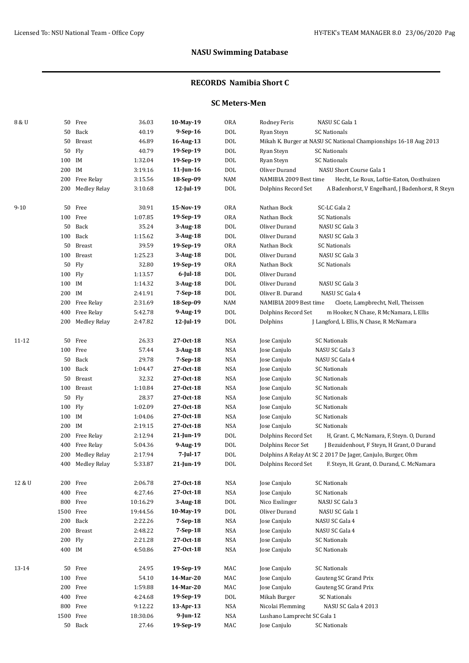### **RECORDS Namibia Short C**

## **SC Meters-Men**

| 8 & U    | 50        | Free                | 36.03    | 10-May-19    | <b>ORA</b> | Rodney Feris<br>NASU SC Gala 1                               |                                                                  |
|----------|-----------|---------------------|----------|--------------|------------|--------------------------------------------------------------|------------------------------------------------------------------|
|          | 50        | Back                | 40.19    | 9-Sep-16     | DOL        | Ryan Steyn<br><b>SC Nationals</b>                            |                                                                  |
|          | 50        | <b>Breast</b>       | 46.89    | 16-Aug-13    | DOL        |                                                              | Mikah K. Burger at NASU SC National Championships 16-18 Aug 2013 |
|          | 50        | Fly                 | 40.79    | 19-Sep-19    | DOL        | Ryan Steyn<br><b>SC Nationals</b>                            |                                                                  |
|          | 100       | IM                  | 1:32.04  | 19-Sep-19    | DOL        | Ryan Steyn<br><b>SC Nationals</b>                            |                                                                  |
|          | 200       | IM                  | 3:19.16  | $11$ -Jun-16 | DOL        | Oliver Durand                                                | NASU Short Course Gala 1                                         |
|          | 200       | Free Relay          | 3:15.56  | 18-Sep-09    | <b>NAM</b> | NAMIBIA 2009 Best time                                       | Hecht, Le Roux, Loftie-Eaton, Oosthuizen                         |
|          | 200       | <b>Medley Relay</b> | 3:10.68  | 12-Jul-19    | DOL        | Dolphins Record Set                                          | A Badenhorst, V Engelhard, J Badenhorst, R Steyn                 |
|          |           |                     |          |              |            |                                                              |                                                                  |
| $9 - 10$ | 50        | Free                | 30.91    | 15-Nov-19    | <b>ORA</b> | SC-LC Gala 2<br>Nathan Bock                                  |                                                                  |
|          | 100       | Free                | 1:07.85  | 19-Sep-19    | <b>ORA</b> | Nathan Bock<br><b>SC Nationals</b>                           |                                                                  |
|          | 50        | Back                | 35.24    | $3-Aug-18$   | DOL        | NASU SC Gala 3<br>Oliver Durand                              |                                                                  |
|          | 100       | Back                | 1:15.62  | 3-Aug-18     | DOL        | NASU SC Gala 3<br>Oliver Durand                              |                                                                  |
|          | 50        | <b>Breast</b>       | 39.59    | 19-Sep-19    | <b>ORA</b> | Nathan Bock<br><b>SC Nationals</b>                           |                                                                  |
|          | 100       | <b>Breast</b>       | 1:25.23  | 3-Aug-18     | DOL        | Oliver Durand<br>NASU SC Gala 3                              |                                                                  |
|          | 50        | Fly                 | 32.80    | 19-Sep-19    | <b>ORA</b> | Nathan Bock<br><b>SC Nationals</b>                           |                                                                  |
|          | 100       | Fly                 | 1:13.57  | 6-Jul-18     | DOL        | Oliver Durand                                                |                                                                  |
|          | 100 IM    |                     | 1:14.32  | $3-Aug-18$   | <b>DOL</b> | Oliver Durand<br>NASU SC Gala 3                              |                                                                  |
|          | 200       | IM                  | 2:41.91  | 7-Sep-18     | DOL        | Oliver B. Durand<br>NASU SC Gala 4                           |                                                                  |
|          | 200       | Free Relay          | 2:31.69  | 18-Sep-09    | <b>NAM</b> | NAMIBIA 2009 Best time                                       | Cloete, Lampbrecht, Nell, Theissen                               |
|          | 400       | Free Relay          | 5:42.78  | 9-Aug-19     | DOL        | Dolphins Record Set                                          | m Hooker, N Chase, R McNamara, L Ellis                           |
|          | 200       | <b>Medley Relay</b> | 2:47.82  | 12-Jul-19    | <b>DOL</b> | Dolphins                                                     | J Langford, L Ellis, N Chase, R McNamara                         |
|          |           |                     |          |              |            |                                                              |                                                                  |
| 11-12    |           | 50 Free             | 26.33    | 27-Oct-18    | <b>NSA</b> | Jose Canjulo<br><b>SC Nationals</b>                          |                                                                  |
|          |           | 100 Free            | 57.44    | 3-Aug-18     | <b>NSA</b> | Jose Canjulo<br>NASU SC Gala 3                               |                                                                  |
|          | 50        | Back                | 29.78    | $7-Sep-18$   | <b>NSA</b> | Jose Canjulo<br>NASU SC Gala 4                               |                                                                  |
|          |           | 100 Back            | 1:04.47  | 27-0ct-18    | NSA        | Jose Canjulo<br><b>SC Nationals</b>                          |                                                                  |
|          | 50        | Breast              | 32.32    | 27-Oct-18    | <b>NSA</b> | <b>SC Nationals</b><br>Jose Canjulo                          |                                                                  |
|          | 100       | <b>Breast</b>       | 1:10.84  | 27-Oct-18    | NSA        | <b>SC Nationals</b><br>Jose Canjulo                          |                                                                  |
|          | 50        | Fly                 | 28.37    | 27-0ct-18    | <b>NSA</b> | <b>SC Nationals</b><br>Jose Canjulo                          |                                                                  |
|          | 100 Fly   |                     | 1:02.09  | 27-0ct-18    | <b>NSA</b> | Jose Canjulo<br><b>SC Nationals</b>                          |                                                                  |
|          | 100 IM    |                     | 1:04.06  | 27-0ct-18    | <b>NSA</b> | Jose Canjulo<br><b>SC Nationals</b>                          |                                                                  |
|          | 200 IM    |                     | 2:19.15  | 27-0ct-18    | <b>NSA</b> | Jose Canjulo<br><b>SC Nationals</b>                          |                                                                  |
|          |           | 200 Free Relay      | 2:12.94  | 21-Jun-19    | $\rm DOL$  | Dolphins Record Set                                          | H, Grant. C, McNamara, F, Steyn. O, Durand                       |
|          | 400       | Free Relay          | 5:04.36  | 9-Aug-19     | DOL        | Dolphins Recor Set                                           | J Bezuidenhout, F Steyn, H Grant, O Durand                       |
|          | 200       | <b>Medley Relay</b> | 2:17.94  | $7$ -Jul-17  | DOL        | Dolphins A Relay At SC 2 2017 De Jager, Canjulo, Burger, Ohm |                                                                  |
|          |           | 400 Medley Relay    | 5:33.87  | 21-Jun-19    | <b>DOL</b> | Dolphins Record Set                                          | F. Steyn, H. Grant, O. Durand, C. McNamara                       |
|          |           |                     |          |              |            |                                                              |                                                                  |
| 12 & U   |           | 200 Free            | 2:06.78  | 27-Oct-18    | NSA        | <b>SC Nationals</b><br>Jose Canjulo                          |                                                                  |
|          |           | 400 Free            | 4:27.46  | 27-Oct-18    | <b>NSA</b> | <b>SC Nationals</b><br>Jose Canjulo                          |                                                                  |
|          |           | 800 Free            | 10:16.29 | $3$ -Aug-18  | <b>DOL</b> | Nico Esslinger<br>NASU SC Gala 3                             |                                                                  |
|          | 1500 Free |                     | 19:44.56 | 10-May-19    | DOL        | Oliver Durand<br>NASU SC Gala 1                              |                                                                  |
|          | 200       | Back                | 2:22.26  | 7-Sep-18     | <b>NSA</b> | Jose Canjulo<br>NASU SC Gala 4                               |                                                                  |
|          | 200       | <b>Breast</b>       | 2:48.22  | $7-Sep-18$   | <b>NSA</b> | Jose Canjulo<br>NASU SC Gala 4                               |                                                                  |
|          | 200       | Fly                 | 2:21.28  | 27-Oct-18    | <b>NSA</b> | <b>SC Nationals</b><br>Jose Canjulo                          |                                                                  |
|          | 400 IM    |                     | 4:50.86  | 27-Oct-18    | NSA        | Jose Canjulo<br>SC Nationals                                 |                                                                  |
|          |           |                     |          |              |            |                                                              |                                                                  |
| 13-14    |           | 50 Free             | 24.95    | 19-Sep-19    | MAC        | <b>SC Nationals</b><br>Jose Canjulo                          |                                                                  |
|          | 100       | Free                | 54.10    | 14-Mar-20    | MAC        | Jose Canjulo                                                 | Gauteng SC Grand Prix                                            |
|          |           | 200 Free            | 1:59.88  | 14-Mar-20    | MAC        | Jose Canjulo                                                 | Gauteng SC Grand Prix                                            |
|          |           | 400 Free            | 4:24.68  | 19-Sep-19    | DOL        | <b>SC Nationals</b><br>Mikah Burger                          |                                                                  |
|          | 800       | Free                | 9:12.22  | $13$ -Apr-13 | <b>NSA</b> | Nicolai Flemming                                             | NASU SC Gala 4 2013                                              |
|          | 1500      | Free                | 18:30.06 | 9-Jun-12     | <b>NSA</b> | Lushano Lamprecht SC Gala 1                                  |                                                                  |
|          |           | 50 Back             | 27.46    | 19-Sep-19    | MAC        | Jose Canjulo<br><b>SC Nationals</b>                          |                                                                  |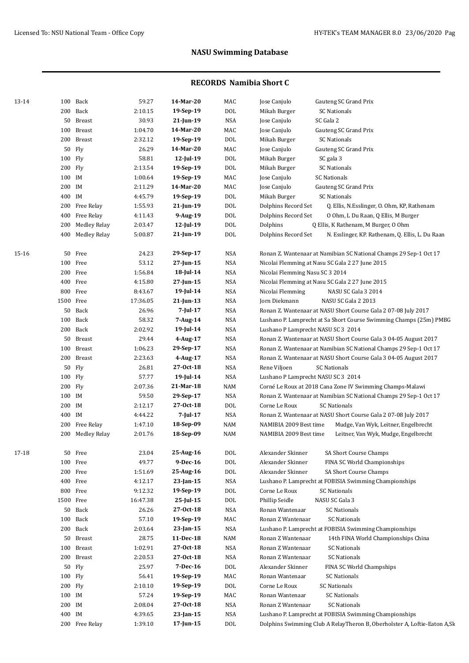| 13-14 | 100 Back   |                  | 59.27    | 14-Mar-20       | MAC            | Jose Canjulo<br>Gauteng SC Grand Prix                                     |
|-------|------------|------------------|----------|-----------------|----------------|---------------------------------------------------------------------------|
|       | 200 Back   |                  | 2:10.15  | 19-Sep-19       | $\rm DOL$      | Mikah Burger<br><b>SC Nationals</b>                                       |
|       |            | 50 Breast        | 30.93    | 21-Jun-19       | <b>NSA</b>     | SC Gala 2<br>Jose Canjulo                                                 |
|       | 100 Breast |                  | 1:04.70  | 14-Mar-20       | MAC            | Jose Canjulo<br>Gauteng SC Grand Prix                                     |
|       | 200 Breast |                  | 2:32.12  | 19-Sep-19       | DOL            | Mikah Burger<br>SC Nationals                                              |
|       | 50 Fly     |                  | 26.29    | 14-Mar-20       | MAC            | Jose Canjulo<br>Gauteng SC Grand Prix                                     |
|       | 100 Fly    |                  | 58.81    | $12$ -Jul-19    | DOL            | Mikah Burger<br>SC gala 3                                                 |
|       | 200 Fly    |                  | 2:13.54  | 19-Sep-19       | DOL            | Mikah Burger<br><b>SC Nationals</b>                                       |
|       | 100 IM     |                  | 1:00.64  | 19-Sep-19       | MAC            | Jose Canjulo<br><b>SC Nationals</b>                                       |
|       | 200 IM     |                  | 2:11.29  | 14-Mar-20       | MAC            | Jose Canjulo<br>Gauteng SC Grand Prix                                     |
|       | 400 IM     |                  | 4:45.79  | 19-Sep-19       | DOL            | Mikah Burger<br><b>SC Nationals</b>                                       |
|       |            | 200 Free Relay   | 1:55.93  | $21$ -Jun-19    | $\rm DOL$      | Dolphins Record Set<br>Q. Ellis, N.Esslinger, O. Ohm, KP, Rathenam        |
|       |            | 400 Free Relay   | 4:11.43  | 9-Aug-19        | DOL            | Dolphins Record Set<br>0 Ohm, L Du Raan, Q Ellis, M Burger                |
|       |            | 200 Medley Relay | 2:03.47  | 12-Jul-19       | <b>DOL</b>     | Dolphins<br>Q Ellis, K Rathenam, M Burger, O Ohm                          |
|       |            |                  | 5:00.87  | $21$ -Jun-19    | <b>DOL</b>     |                                                                           |
|       |            | 400 Medley Relay |          |                 |                | Dolphins Record Set<br>N. Esslinger, KP. Rathenam, Q. Ellis, L. Du Raan   |
| 15-16 | 50 Free    |                  | 24.23    | 29-Sep-17       | <b>NSA</b>     | Ronan Z. Wantenaar at Namibian SC National Champs 29 Sep-1 Oct 17         |
|       | 100 Free   |                  | 53.12    | 27-Jun-15       | <b>NSA</b>     | Nicolai Flemming at Nasu SC Gala 2 27 June 2015                           |
|       | 200 Free   |                  | 1:56.84  | 18-Jul-14       | <b>NSA</b>     | Nicolai Flemming Nasu SC 3 2014                                           |
|       | 400 Free   |                  | 4:15.80  | 27-Jun-15       | <b>NSA</b>     | Nicolai Flemming at Nasu SC Gala 2 27 June 2015                           |
|       | 800 Free   |                  | 8:43.67  | $19$ -Jul-14    | <b>NSA</b>     | Nicolai Flemming<br>NASU SC Gala 3 2014                                   |
|       | 1500 Free  |                  | 17:36.05 | $21$ -Jun-13    | NSA            | Jorn Diekmann<br>NASU SC Gala 2 2013                                      |
|       | 50 Back    |                  | 26.96    | $7 - Iul - 17$  | <b>NSA</b>     | Ronan Z. Wantenaar at NASU Short Course Gala 2 07-08 July 2017            |
|       | 100 Back   |                  | 58.32    | 7-Aug-14        | <b>NSA</b>     | Lushano P. Lamprecht at Sa Short Course Swimming Champs (25m) PMBG        |
|       | 200 Back   |                  | 2:02.92  | 19-Jul-14       | <b>NSA</b>     | Lushano P Lamprecht NASU SC 3 2014                                        |
|       |            | 50 Breast        | 29.44    | 4-Aug-17        | <b>NSA</b>     | Ronan Z. Wantenaar at NASU Short Course Gala 3 04-05 August 2017          |
|       | 100 Breast |                  | 1:06.23  | 29-Sep-17       | <b>NSA</b>     | Ronan Z. Wantenaar at Namibian SC National Champs 29 Sep-1 Oct 17         |
|       | 200 Breast |                  | 2:23.63  | 4-Aug-17        | <b>NSA</b>     | Ronan Z. Wantenaar at NASU Short Course Gala 3 04-05 August 2017          |
|       | 50 Fly     |                  | 26.81    | 27-0ct-18       | <b>NSA</b>     | Rene Viljoen<br><b>SC Nationals</b>                                       |
|       | 100 Fly    |                  | 57.77    | 19-Jul-14       | <b>NSA</b>     | Lushano P Lamprecht NASU SC 3 2014                                        |
|       | 200 Fly    |                  | 2:07.36  | 21-Mar-18       | $\textsf{NAM}$ | Corné Le Roux at 2018 Cana Zone IV Swimming Champs-Malawi                 |
|       | 100 IM     |                  | 59.50    | 29-Sep-17       | <b>NSA</b>     | Ronan Z. Wantenaar at Namibian SC National Champs 29 Sep-1 Oct 17         |
|       | 200 IM     |                  | 2:12.17  | 27-0ct-18       | <b>DOL</b>     | Corne Le Roux<br><b>SC Nationals</b>                                      |
|       | 400 IM     |                  | 4:44.22  | 7-Jul-17        | <b>NSA</b>     | Ronan Z. Wantenaar at NASU Short Course Gala 2 07-08 July 2017            |
|       |            |                  |          |                 |                |                                                                           |
|       |            | 200 Free Relay   | 1:47.10  | 18-Sep-09       | $\textsf{NAM}$ | NAMIBIA 2009 Best time<br>Mudge, Van Wyk, Leitner, Engelbrecht            |
|       |            | 200 Medley Relay | 2:01.76  | 18-Sep-09       | NAM            | NAMIBIA 2009 Best time<br>Leitner, Van Wyk, Mudge, Engelbrecht            |
| 17-18 | 50 Free    |                  | 23.04    | 25-Aug-16       | $\rm DOL$      | Alexander Skinner<br>SA Short Course Champs                               |
|       | 100 Free   |                  | 49.77    | 9-Dec-16        | $\rm DOL$      | Alexander Skinner<br>FINA SC World Championships                          |
|       | 200 Free   |                  | 1:51.69  | 25-Aug-16       | $\rm DOL$      | Alexander Skinner<br>SA Short Course Champs                               |
|       | 400 Free   |                  | 4:12.17  | 23-Jan-15       | NSA            | Lushano P. Lamprecht at FOBISIA Swimming Championships                    |
|       | 800 Free   |                  | 9:12.32  | 19-Sep-19       | $\rm DOL$      | Corne Le Roux<br><b>SC Nationals</b>                                      |
|       | 1500 Free  |                  | 16:47.38 | 25-Jul-15       | $\rm DOL$      | NASU SC Gala 3<br>Phillip Seidle                                          |
|       | 50 Back    |                  | 26.26    | 27-0ct-18       | NSA            | Ronan Wantenaar<br><b>SC Nationals</b>                                    |
|       | 100 Back   |                  | 57.10    | 19-Sep-19       | MAC            | Ronan Z Wantenaar<br><b>SC Nationals</b>                                  |
|       | 200 Back   |                  | 2:03.64  | $23$ -Jan-15    | NSA            | Lushano P. Lamprecht at FOBISIA Swimming Championships                    |
|       |            | 50 Breast        | 28.75    | 11-Dec-18       | NAM            | Ronan Z Wantenaar<br>14th FINA World Championships China                  |
|       | 100 Breast |                  | 1:02.91  | 27-Oct-18       | NSA            | Ronan Z Wantenaar<br><b>SC Nationals</b>                                  |
|       | 200 Breast |                  | 2:20.53  | 27-0ct-18       | NSA            | Ronan Z Wantenaar<br><b>SC Nationals</b>                                  |
|       | 50 Fly     |                  | 25.97    | 7-Dec-16        | $\rm DOL$      | Alexander Skinner<br>FINA SC World Champships                             |
|       | 100 Fly    |                  | 56.41    | 19-Sep-19       | MAC            | Ronan Wantenaar<br><b>SC Nationals</b>                                    |
|       | 200 Fly    |                  | 2:10.10  | 19-Sep-19       | DOL            | Corne Le Roux<br><b>SC Nationals</b>                                      |
|       |            |                  |          |                 |                |                                                                           |
|       | 100 IM     |                  | 57.24    | 19-Sep-19       | MAC            | Ronan Wantenaar<br><b>SC Nationals</b>                                    |
|       | 200 IM     |                  | 2:08.04  | 27-0ct-18       | NSA            | Ronan Z Wantenaar<br><b>SC Nationals</b>                                  |
|       | 400 IM     |                  | 4:39.65  | $23$ -Jan-15    | NSA            | Lushano P. Lamprecht at FOBISIA Swimming Championships                    |
|       |            | 200 Free Relay   | 1:39.10  | $17$ -Jun- $15$ | $\rm DOL$      | Dolphins Swimming Club A RelayTheron B, Oberholster A, Loftie-Eaton A, Sk |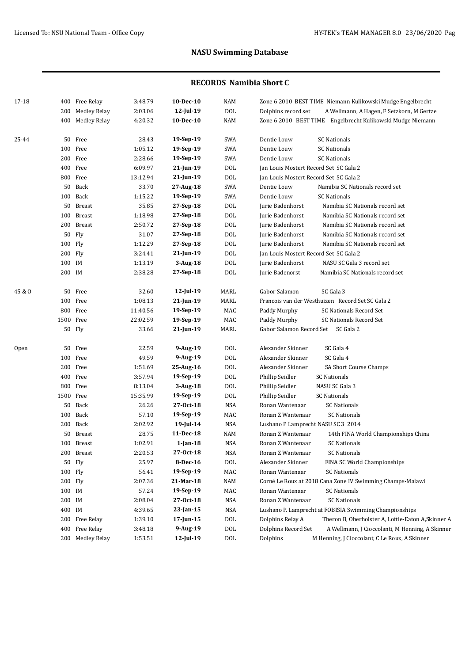| 17-18  |           | 400 Free Relay      | 3:48.79  | 10-Dec-10       | <b>NAM</b>      | Zone 6 2010 BEST TIME Niemann Kulikowski Mudge Engelbrecht             |
|--------|-----------|---------------------|----------|-----------------|-----------------|------------------------------------------------------------------------|
|        | 200       | <b>Medley Relay</b> | 2:03.06  | $12$ -Jul-19    | <b>DOL</b>      | Dolphins record set<br>A Wellmann, A Hagen, F Setzkorn, M Gertze       |
|        |           | 400 Medley Relay    | 4:20.32  | 10-Dec-10       | NAM             | Zone 6 2010 BEST TIME Engelbrecht Kulikowski Mudge Niemann             |
| 25-44  |           | 50 Free             | 28.43    | 19-Sep-19       | SWA             | Dentie Louw<br><b>SC Nationals</b>                                     |
|        |           | 100 Free            | 1:05.12  | 19-Sep-19       | SWA             | Dentie Louw<br><b>SC Nationals</b>                                     |
|        |           | 200 Free            | 2:28.66  | 19-Sep-19       | SWA             | Dentie Louw<br><b>SC Nationals</b>                                     |
|        |           | 400 Free            | 6:09.97  | 21-Jun-19       | <b>DOL</b>      | Jan Louis Mostert Record Set SC Gala 2                                 |
|        |           | 800 Free            | 13:12.94 | $21$ -Jun-19    | <b>DOL</b>      | Jan Louis Mostert Record Set SC Gala 2                                 |
|        |           | 50 Back             | 33.70    | 27-Aug-18       | SWA             | Dentie Louw<br>Namibia SC Nationals record set                         |
|        |           | 100 Back            | 1:15.22  | 19-Sep-19       | SWA             | Dentie Louw<br><b>SC Nationals</b>                                     |
|        |           | 50 Breast           | 35.85    | $27-Sep-18$     | <b>DOL</b>      | Jurie Badenhorst<br>Namibia SC Nationals record set                    |
|        |           | 100 Breast          | 1:18.98  | 27-Sep-18       | <b>DOL</b>      | Jurie Badenhorst<br>Namibia SC Nationals record set                    |
|        |           | 200 Breast          | 2:50.72  | 27-Sep-18       | <b>DOL</b>      | Jurie Badenhorst<br>Namibia SC Nationals record set                    |
|        |           | 50 Fly              | 31.07    | 27-Sep-18       | <b>DOL</b>      | Jurie Badenhorst<br>Namibia SC Nationals record set                    |
|        | 100 Fly   |                     | 1:12.29  | 27-Sep-18       | <b>DOL</b>      | Jurie Badenhorst<br>Namibia SC Nationals record set                    |
|        | 200 Fly   |                     | 3:24.41  | 21-Jun-19       | <b>DOL</b>      | Jan Louis Mostert Record Set SC Gala 2                                 |
|        | 100 IM    |                     | 1:13.19  | $3-Aug-18$      | <b>DOL</b>      | NASU SC Gala 3 record set<br>Jurie Badenhorst                          |
|        | 200 IM    |                     | 2:38.28  | 27-Sep-18       | <b>DOL</b>      | Jurie Badenorst<br>Namibia SC Nationals record set                     |
| 45 & O |           | 50 Free             | 32.60    | $12$ -Jul-19    | MARL            | Gabor Salamon<br>SC Gala 3                                             |
|        |           | 100 Free            | 1:08.13  | $21$ -Jun-19    | MARL            | Francois van der Westhuizen Record Set SC Gala 2                       |
|        |           | 800 Free            | 11:40.56 | 19-Sep-19       | MAC             | SC Nationals Record Set<br>Paddy Murphy                                |
|        | 1500 Free |                     | 22:02.59 | 19-Sep-19       | MAC             | Paddy Murphy<br>SC Nationals Record Set                                |
|        |           | 50 Fly              | 33.66    | 21-Jun-19       | MARL            | Gabor Salamon Record Set SC Gala 2                                     |
| Open   |           | 50 Free             | 22.59    | 9-Aug-19        | DO <sub>L</sub> | Alexander Skinner<br>SC Gala 4                                         |
|        |           | 100 Free            | 49.59    | 9-Aug-19        | <b>DOL</b>      | Alexander Skinner<br>SC Gala 4                                         |
|        |           | 200 Free            | 1:51.69  | 25-Aug-16       | <b>DOL</b>      | Alexander Skinner<br>SA Short Course Champs                            |
|        |           | 400 Free            | 3:57.94  | 19-Sep-19       | <b>DOL</b>      | Phillip Seidler<br><b>SC Nationals</b>                                 |
|        |           | 800 Free            | 8:13.04  | $3-Aug-18$      | <b>DOL</b>      | Phillip Seidler<br>NASU SC Gala 3                                      |
|        | 1500 Free |                     | 15:35.99 | 19-Sep-19       | <b>DOL</b>      | Phillip Seidler<br><b>SC Nationals</b>                                 |
|        |           | 50 Back             | 26.26    | 27-0ct-18       | NSA             | Ronan Wantenaar<br>SC Nationals                                        |
|        |           | 100 Back            | 57.10    | 19-Sep-19       | MAC             | <b>SC Nationals</b><br>Ronan Z Wantenaar                               |
|        |           | 200 Back            | 2:02.92  | 19-Jul-14       | <b>NSA</b>      | Lushano P Lamprecht NASU SC 3 2014                                     |
|        |           | 50 Breast           | 28.75    | 11-Dec-18       | <b>NAM</b>      | Ronan Z Wantenaar<br>14th FINA World Championships China               |
|        |           | 100 Breast          | 1:02.91  | $1$ -Jan-18     | NSA             | Ronan Z Wantenaar<br><b>SC Nationals</b>                               |
|        |           | 200 Breast          | 2:20.53  | 27-Oct-18       | NSA             | Ronan Z Wantenaar<br><b>SC Nationals</b>                               |
|        |           | 50 Fly              | 25.97    | 8-Dec-16        | DOL             | Alexander Skinner<br>FINA SC World Championships                       |
|        | 100 Fly   |                     | 56.41    | 19-Sep-19       | MAC             | Ronan Wantenaar<br><b>SC Nationals</b>                                 |
|        | 200 Fly   |                     | 2:07.36  | 21-Mar-18       | NAM             | Corné Le Roux at 2018 Cana Zone IV Swimming Champs-Malawi              |
|        | 100 IM    |                     | 57.24    | 19-Sep-19       | MAC             | Ronan Wantenaar<br><b>SC Nationals</b>                                 |
|        | 200 IM    |                     | 2:08.04  | 27-Oct-18       | NSA             | Ronan Z Wantenaar<br><b>SC Nationals</b>                               |
|        | 400 IM    |                     | 4:39.65  | $23$ -Jan-15    | NSA             | Lushano P. Lamprecht at FOBISIA Swimming Championships                 |
|        |           | 200 Free Relay      | 1:39.10  | $17$ -Jun- $15$ | $\rm DOL$       | Theron B, Oberholster A, Loftie-Eaton A, Skinner A<br>Dolphins Relay A |
|        | 400       | Free Relay          | 3:48.18  | 9-Aug-19        | $\rm DOL$       | A Wellmann, J Cioccolanti, M Henning, A Skinner<br>Dolphins Record Set |
|        |           | 200 Medley Relay    | 1:53.51  | 12-Jul-19       | DOL             | M Henning, J Cioccolant, C Le Roux, A Skinner<br>Dolphins              |